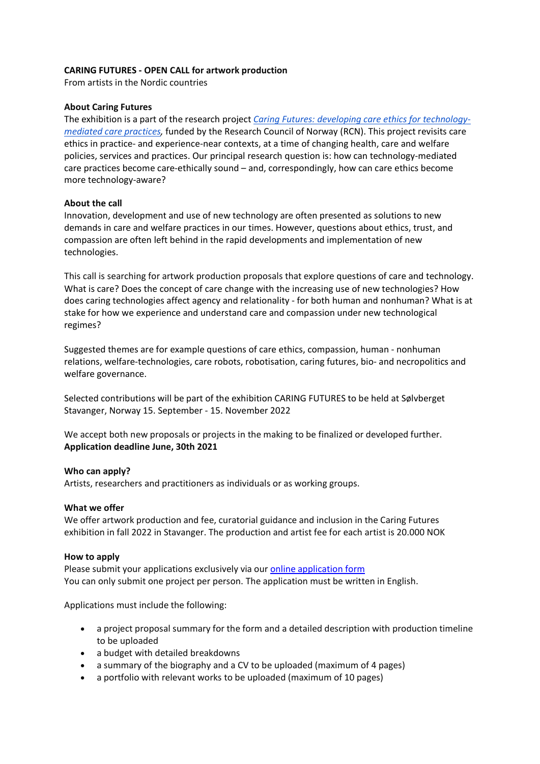# **CARING FUTURES - OPEN CALL for artwork production**

From artists in the Nordic countries

# **About Caring Futures**

The exhibition is a part of the research project *[Caring Futures: developing care ethics for technology](https://www.uis.no/en/caringfutures)[mediated care practices,](https://www.uis.no/en/caringfutures)* funded by the Research Council of Norway (RCN). This project revisits care ethics in practice- and experience-near contexts, at a time of changing health, care and welfare policies, services and practices. Our principal research question is: how can technology-mediated care practices become care-ethically sound – and, correspondingly, how can care ethics become more technology-aware?

# **About the call**

Innovation, development and use of new technology are often presented as solutions to new demands in care and welfare practices in our times. However, questions about ethics, trust, and compassion are often left behind in the rapid developments and implementation of new technologies.

This call is searching for artwork production proposals that explore questions of care and technology. What is care? Does the concept of care change with the increasing use of new technologies? How does caring technologies affect agency and relationality - for both human and nonhuman? What is at stake for how we experience and understand care and compassion under new technological regimes?

Suggested themes are for example questions of care ethics, compassion, human - nonhuman relations, welfare-technologies, care robots, robotisation, caring futures, bio- and necropolitics and welfare governance.

Selected contributions will be part of the exhibition CARING FUTURES to be held at Sølvberget Stavanger, Norway 15. September - 15. November 2022

We accept both new proposals or projects in the making to be finalized or developed further. **Application deadline June, 30th 2021**

### **Who can apply?**

Artists, researchers and practitioners as individuals or as working groups.

### **What we offer**

We offer artwork production and fee, curatorial guidance and inclusion in the Caring Futures exhibition in fall 2022 in Stavanger. The production and artist fee for each artist is 20.000 NOK

### **How to apply**

Please submit your applications exclusively via our **online application form** You can only submit one project per person. The application must be written in English.

Applications must include the following:

- a project proposal summary for the form and a detailed description with production timeline to be uploaded
- a budget with detailed breakdowns
- a summary of the biography and a CV to be uploaded (maximum of 4 pages)
- a portfolio with relevant works to be uploaded (maximum of 10 pages)